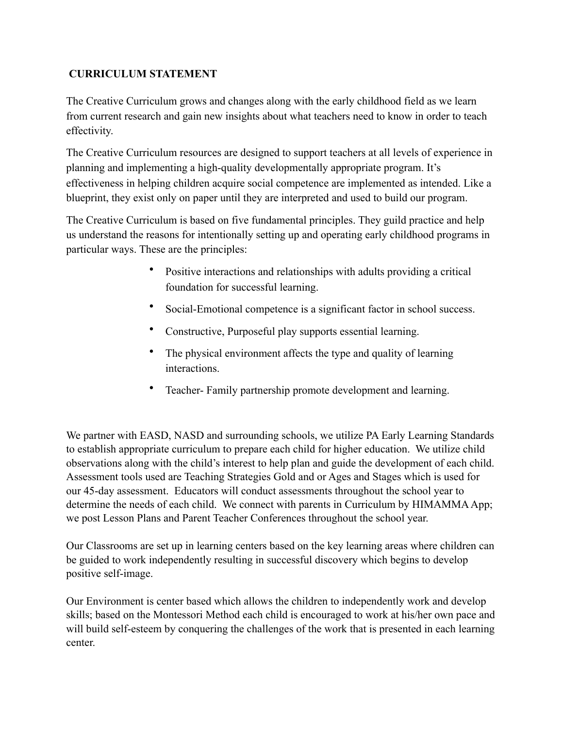## **CURRICULUM STATEMENT**

The Creative Curriculum grows and changes along with the early childhood field as we learn from current research and gain new insights about what teachers need to know in order to teach effectivity.

The Creative Curriculum resources are designed to support teachers at all levels of experience in planning and implementing a high-quality developmentally appropriate program. It's effectiveness in helping children acquire social competence are implemented as intended. Like a blueprint, they exist only on paper until they are interpreted and used to build our program.

The Creative Curriculum is based on five fundamental principles. They guild practice and help us understand the reasons for intentionally setting up and operating early childhood programs in particular ways. These are the principles:

- Positive interactions and relationships with adults providing a critical foundation for successful learning.
- Social-Emotional competence is a significant factor in school success.
- Constructive, Purposeful play supports essential learning.
- The physical environment affects the type and quality of learning interactions.
- Teacher- Family partnership promote development and learning.

We partner with EASD, NASD and surrounding schools, we utilize PA Early Learning Standards to establish appropriate curriculum to prepare each child for higher education. We utilize child observations along with the child's interest to help plan and guide the development of each child. Assessment tools used are Teaching Strategies Gold and or Ages and Stages which is used for our 45-day assessment. Educators will conduct assessments throughout the school year to determine the needs of each child. We connect with parents in Curriculum by HIMAMMA App; we post Lesson Plans and Parent Teacher Conferences throughout the school year.

Our Classrooms are set up in learning centers based on the key learning areas where children can be guided to work independently resulting in successful discovery which begins to develop positive self-image.

Our Environment is center based which allows the children to independently work and develop skills; based on the Montessori Method each child is encouraged to work at his/her own pace and will build self-esteem by conquering the challenges of the work that is presented in each learning center.